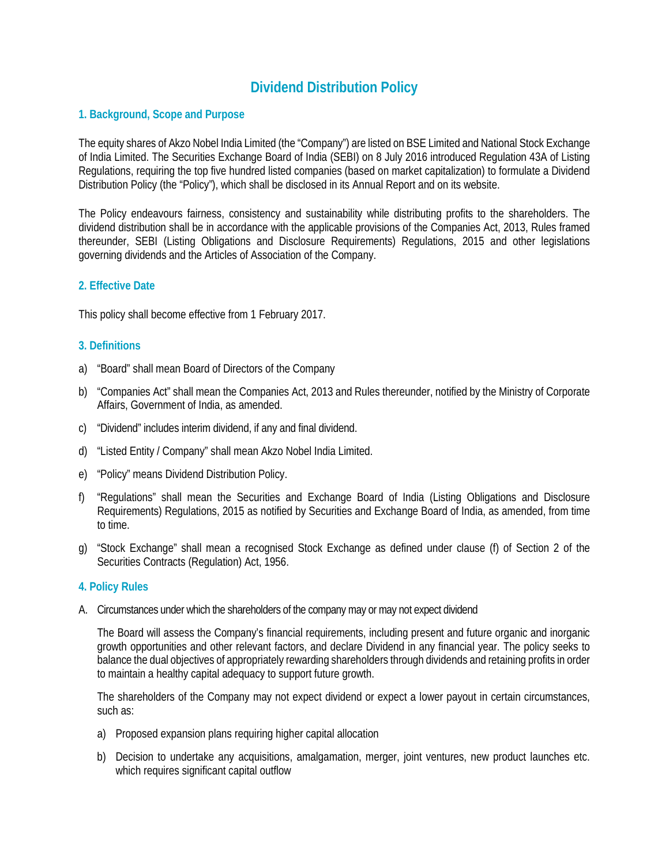# **Dividend Distribution Policy**

### **1. Background, Scope and Purpose**

The equity shares of Akzo Nobel India Limited (the "Company") are listed on BSE Limited and National Stock Exchange of India Limited. The Securities Exchange Board of India (SEBI) on 8 July 2016 introduced Regulation 43A of Listing Regulations, requiring the top five hundred listed companies (based on market capitalization) to formulate a Dividend Distribution Policy (the "Policy"), which shall be disclosed in its Annual Report and on its website.

The Policy endeavours fairness, consistency and sustainability while distributing profits to the shareholders. The dividend distribution shall be in accordance with the applicable provisions of the Companies Act, 2013, Rules framed thereunder, SEBI (Listing Obligations and Disclosure Requirements) Regulations, 2015 and other legislations governing dividends and the Articles of Association of the Company.

## **2. Effective Date**

This policy shall become effective from 1 February 2017.

## **3. Definitions**

- a) "Board" shall mean Board of Directors of the Company
- b) "Companies Act" shall mean the Companies Act, 2013 and Rules thereunder, notified by the Ministry of Corporate Affairs, Government of India, as amended.
- c) "Dividend" includes interim dividend, if any and final dividend.
- d) "Listed Entity / Company" shall mean Akzo Nobel India Limited.
- e) "Policy" means Dividend Distribution Policy.
- f) "Regulations" shall mean the Securities and Exchange Board of India (Listing Obligations and Disclosure Requirements) Regulations, 2015 as notified by Securities and Exchange Board of India, as amended, from time to time.
- g) "Stock Exchange" shall mean a recognised Stock Exchange as defined under clause (f) of Section 2 of the Securities Contracts (Regulation) Act, 1956.

#### **4. Policy Rules**

A. Circumstances under which the shareholders of the company may or may not expect dividend

The Board will assess the Company's financial requirements, including present and future organic and inorganic growth opportunities and other relevant factors, and declare Dividend in any financial year. The policy seeks to balance the dual objectives of appropriately rewarding shareholders through dividends and retaining profits in order to maintain a healthy capital adequacy to support future growth.

The shareholders of the Company may not expect dividend or expect a lower payout in certain circumstances, such as:

- a) Proposed expansion plans requiring higher capital allocation
- b) Decision to undertake any acquisitions, amalgamation, merger, joint ventures, new product launches etc. which requires significant capital outflow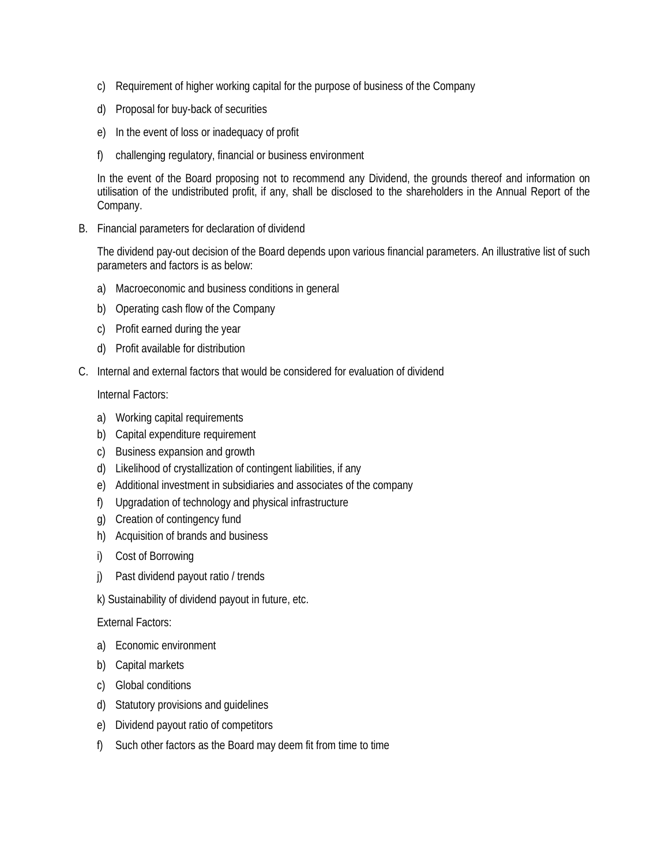- c) Requirement of higher working capital for the purpose of business of the Company
- d) Proposal for buy-back of securities
- e) In the event of loss or inadequacy of profit
- f) challenging regulatory, financial or business environment

In the event of the Board proposing not to recommend any Dividend, the grounds thereof and information on utilisation of the undistributed profit, if any, shall be disclosed to the shareholders in the Annual Report of the Company.

B. Financial parameters for declaration of dividend

The dividend pay-out decision of the Board depends upon various financial parameters. An illustrative list of such parameters and factors is as below:

- a) Macroeconomic and business conditions in general
- b) Operating cash flow of the Company
- c) Profit earned during the year
- d) Profit available for distribution
- C. Internal and external factors that would be considered for evaluation of dividend

Internal Factors:

- a) Working capital requirements
- b) Capital expenditure requirement
- c) Business expansion and growth
- d) Likelihood of crystallization of contingent liabilities, if any
- e) Additional investment in subsidiaries and associates of the company
- f) Upgradation of technology and physical infrastructure
- g) Creation of contingency fund
- h) Acquisition of brands and business
- i) Cost of Borrowing
- j) Past dividend payout ratio / trends
- k) Sustainability of dividend payout in future, etc.

External Factors:

- a) Economic environment
- b) Capital markets
- c) Global conditions
- d) Statutory provisions and guidelines
- e) Dividend payout ratio of competitors
- f) Such other factors as the Board may deem fit from time to time